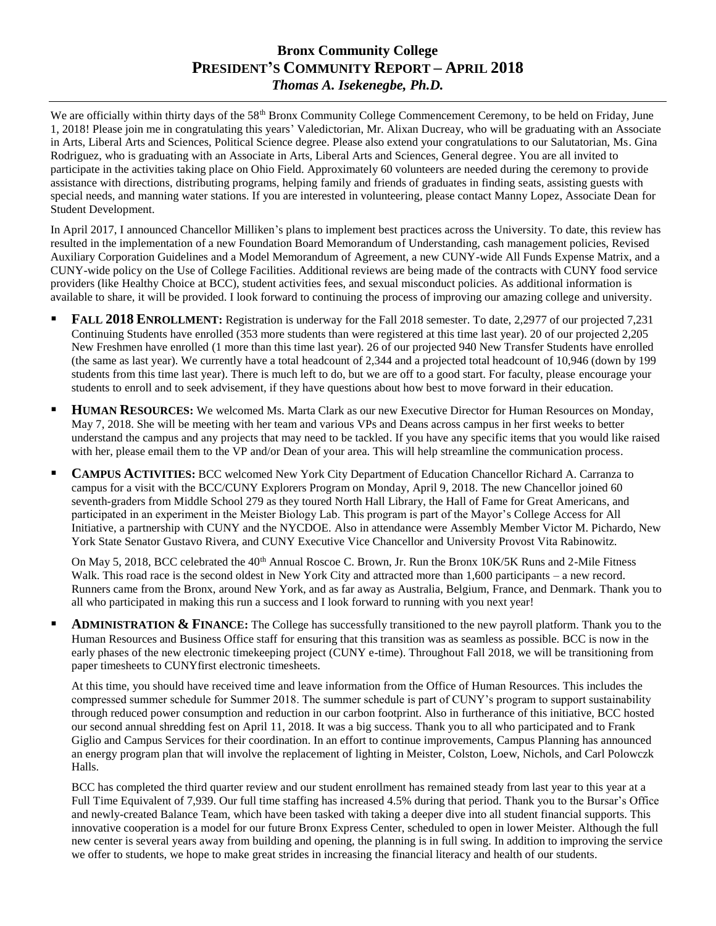## **Bronx Community College PRESIDENT'S COMMUNITY REPORT – APRIL 2018** *Thomas A. Isekenegbe, Ph.D.*

We are officially within thirty days of the 58<sup>th</sup> Bronx Community College Commencement Ceremony, to be held on Friday, June 1, 2018! Please join me in congratulating this years' Valedictorian, Mr. Alixan Ducreay, who will be graduating with an Associate in Arts, Liberal Arts and Sciences, Political Science degree. Please also extend your congratulations to our Salutatorian, Ms. Gina Rodriguez, who is graduating with an Associate in Arts, Liberal Arts and Sciences, General degree. You are all invited to participate in the activities taking place on Ohio Field. Approximately 60 volunteers are needed during the ceremony to provide assistance with directions, distributing programs, helping family and friends of graduates in finding seats, assisting guests with special needs, and manning water stations. If you are interested in volunteering, please contact Manny Lopez, Associate Dean for Student Development.

In April 2017, I announced Chancellor Milliken's plans to implement best practices across the University. To date, this review has resulted in the implementation of a new Foundation Board Memorandum of Understanding, cash management policies, Revised Auxiliary Corporation Guidelines and a Model Memorandum of Agreement, a new CUNY-wide All Funds Expense Matrix, and a CUNY-wide policy on the Use of College Facilities. Additional reviews are being made of the contracts with CUNY food service providers (like Healthy Choice at BCC), student activities fees, and sexual misconduct policies. As additional information is available to share, it will be provided. I look forward to continuing the process of improving our amazing college and university.

- **FALL 2018 ENROLLMENT:** Registration is underway for the Fall 2018 semester. To date, 2,2977 of our projected 7,231 Continuing Students have enrolled (353 more students than were registered at this time last year). 20 of our projected 2,205 New Freshmen have enrolled (1 more than this time last year). 26 of our projected 940 New Transfer Students have enrolled (the same as last year). We currently have a total headcount of 2,344 and a projected total headcount of 10,946 (down by 199 students from this time last year). There is much left to do, but we are off to a good start. For faculty, please encourage your students to enroll and to seek advisement, if they have questions about how best to move forward in their education.
- **HUMAN RESOURCES:** We welcomed Ms. Marta Clark as our new Executive Director for Human Resources on Monday, May 7, 2018. She will be meeting with her team and various VPs and Deans across campus in her first weeks to better understand the campus and any projects that may need to be tackled. If you have any specific items that you would like raised with her, please email them to the VP and/or Dean of your area. This will help streamline the communication process.
- **CAMPUS ACTIVITIES:** BCC welcomed New York City Department of Education Chancellor Richard A. Carranza to campus for a visit with the BCC/CUNY Explorers Program on Monday, April 9, 2018. The new Chancellor joined 60 seventh-graders from Middle School 279 as they toured North Hall Library, the Hall of Fame for Great Americans, and participated in an experiment in the Meister Biology Lab. This program is part of the Mayor's College Access for All Initiative, a partnership with CUNY and the NYCDOE. Also in attendance were Assembly Member Victor M. Pichardo, New York State Senator Gustavo Rivera, and CUNY Executive Vice Chancellor and University Provost Vita Rabinowitz.

On May 5, 2018, BCC celebrated the  $40<sup>th</sup>$  Annual Roscoe C. Brown, Jr. Run the Bronx 10K/5K Runs and 2-Mile Fitness Walk. This road race is the second oldest in New York City and attracted more than 1,600 participants – a new record. Runners came from the Bronx, around New York, and as far away as Australia, Belgium, France, and Denmark. Thank you to all who participated in making this run a success and I look forward to running with you next year!

 **ADMINISTRATION & FINANCE:** The College has successfully transitioned to the new payroll platform. Thank you to the Human Resources and Business Office staff for ensuring that this transition was as seamless as possible. BCC is now in the early phases of the new electronic timekeeping project (CUNY e-time). Throughout Fall 2018, we will be transitioning from paper timesheets to CUNYfirst electronic timesheets.

At this time, you should have received time and leave information from the Office of Human Resources. This includes the compressed summer schedule for Summer 2018. The summer schedule is part of CUNY's program to support sustainability through reduced power consumption and reduction in our carbon footprint. Also in furtherance of this initiative, BCC hosted our second annual shredding fest on April 11, 2018. It was a big success. Thank you to all who participated and to Frank Giglio and Campus Services for their coordination. In an effort to continue improvements, Campus Planning has announced an energy program plan that will involve the replacement of lighting in Meister, Colston, Loew, Nichols, and Carl Polowczk Halls.

BCC has completed the third quarter review and our student enrollment has remained steady from last year to this year at a Full Time Equivalent of 7,939. Our full time staffing has increased 4.5% during that period. Thank you to the Bursar's Office and newly-created Balance Team, which have been tasked with taking a deeper dive into all student financial supports. This innovative cooperation is a model for our future Bronx Express Center, scheduled to open in lower Meister. Although the full new center is several years away from building and opening, the planning is in full swing. In addition to improving the service we offer to students, we hope to make great strides in increasing the financial literacy and health of our students.